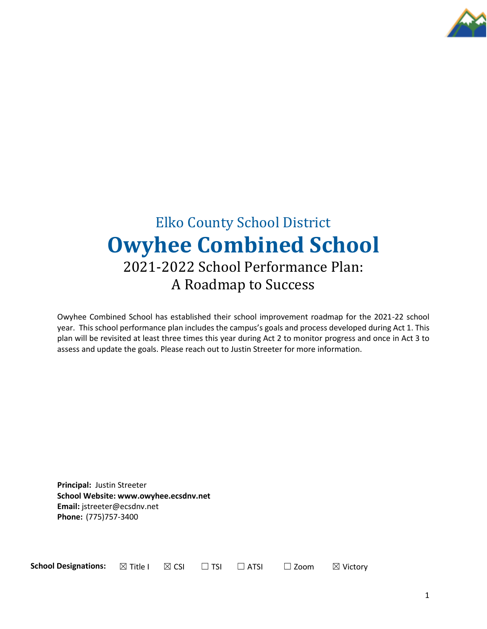

# Elko County School District **Owyhee Combined School** 2021-2022 School Performance Plan: A Roadmap to Success

Owyhee Combined School has established their school improvement roadmap for the 2021-22 school year. This school performance plan includes the campus's goals and process developed during Act 1. This plan will be revisited at least three times this year during Act 2 to monitor progress and once in Act 3 to assess and update the goals. Please reach out to Justin Streeter for more information.

**Principal:** Justin Streeter **School Website: www.owyhee.ecsdnv.net Email:** jstreeter@ecsdnv.net **Phone:** (775)757-3400

**School Designations:**  $\boxtimes$  Title I  $\boxtimes$  CSI  $\Box$  TSI  $\Box$  ATSI  $\Box$  Zoom  $\boxtimes$  Victory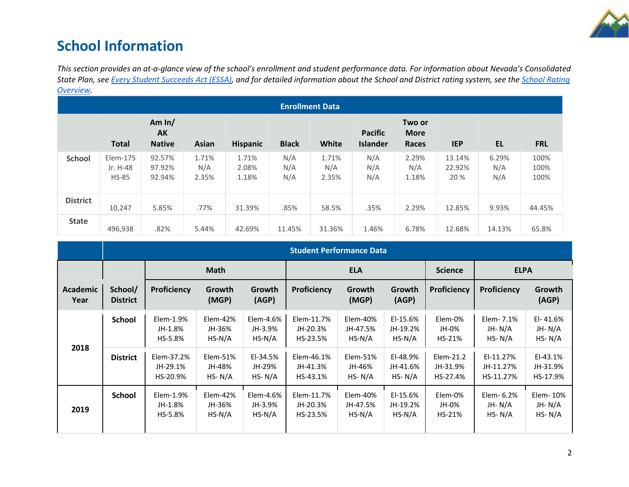

## **School Information**

*This section provides an at-a-glance view of the school's enrollment and student performance data. For information about Nevada's Consolidated State Plan, see [Every Student Succeeds Act \(ESSA\),](https://doe.nv.gov/uploadedFiles/ndedoenvgov/content/Boards_Commissions_Councils/ESSA_Adv_Group/NevadaSubmittedConsolidatedPlanFinal.pdf) and for detailed information about the School and District rating system, see the [School Rating](http://nevadareportcard.nv.gov/DI/MoreDownload?filename=Nevadas%20School%20Rating%20System.pdf)  [Overview.](http://nevadareportcard.nv.gov/DI/MoreDownload?filename=Nevadas%20School%20Rating%20System.pdf)*

| <b>Enrollment Data</b> |                                      |                                        |                       |                         |                   |                       |                                   |                                       |                          |                     |                      |
|------------------------|--------------------------------------|----------------------------------------|-----------------------|-------------------------|-------------------|-----------------------|-----------------------------------|---------------------------------------|--------------------------|---------------------|----------------------|
|                        | <b>Total</b>                         | Am $ln/$<br><b>AK</b><br><b>Native</b> | Asian                 | <b>Hispanic</b>         | <b>Black</b>      | <b>White</b>          | <b>Pacific</b><br><b>Islander</b> | Two or<br><b>More</b><br><b>Races</b> | <b>IEP</b>               | <b>EL</b>           | <b>FRL</b>           |
| <b>School</b>          | Elem-175<br>Jr. H-48<br><b>HS-85</b> | 92.57%<br>97.92%<br>92.94%             | 1.71%<br>N/A<br>2.35% | 1.71%<br>2.08%<br>1.18% | N/A<br>N/A<br>N/A | 1.71%<br>N/A<br>2.35% | N/A<br>N/A<br>N/A                 | 2.29%<br>N/A<br>1.18%                 | 13.14%<br>22.92%<br>20 % | 6.29%<br>N/A<br>N/A | 100%<br>100%<br>100% |
| <b>District</b>        | 10,247                               | 5.85%                                  | .77%                  | 31.39%                  | .85%              | 58.5%                 | .35%                              | 2.29%                                 | 12.85%                   | 9.93%               | 44.45%               |
| <b>State</b>           | 496,938                              | .82%                                   | 5.44%                 | 42.69%                  | 11.45%            | 31.36%                | 1.46%                             | 6.78%                                 | 12.68%                   | 14.13%              | 65.8%                |

|                         | <b>Student Performance Data</b> |                                    |                                       |                                  |                                    |                                  |                                   |                                   |                                     |                                  |
|-------------------------|---------------------------------|------------------------------------|---------------------------------------|----------------------------------|------------------------------------|----------------------------------|-----------------------------------|-----------------------------------|-------------------------------------|----------------------------------|
|                         |                                 | <b>Math</b>                        |                                       |                                  | <b>ELA</b>                         |                                  |                                   | <b>Science</b>                    | <b>ELPA</b>                         |                                  |
| <b>Academic</b><br>Year | School/<br><b>District</b>      | <b>Proficiency</b>                 | Growth<br>(MGP)                       | Growth<br>(AGP)                  | <b>Proficiency</b>                 | Growth<br>(MGP)                  | Growth<br>(AGP)                   | Proficiency                       | <b>Proficiency</b>                  | Growth<br>(AGP)                  |
| 2018                    | <b>School</b>                   | Elem-1.9%<br>JH-1.8%<br>HS-5.8%    | $Elem-42%$<br>JH-36%<br>$HS-N/A$      | Elem-4.6%<br>JH-3.9%<br>$HS-N/A$ | Elem-11.7%<br>JH-20.3%<br>HS-23.5% | Elem-40%<br>JH-47.5%<br>$HS-N/A$ | EI-15.6%<br>JH-19.2%<br>$HS-N/A$  | Elem-0%<br>JH-0%<br>HS-21%        | Elem- 7.1%<br>JH-N/A<br>$HS- N/A$   | El-41.6%<br>JH-N/A<br>HS- $N/A$  |
|                         | <b>District</b>                 | Elem-37.2%<br>JH-29.1%<br>HS-20.9% | $E$ lem $-51%$<br>JH-48%<br>$HS- N/A$ | EI-34.5%<br>JH-29%<br>$HS- N/A$  | Elem-46.1%<br>JH-41.3%<br>HS-43.1% | Elem-51%<br>JH-46%<br>$HS- N/A$  | EI-48.9%<br>JH-41.6%<br>$HS- N/A$ | Elem-21.2<br>JH-31.9%<br>HS-27.4% | EI-11.27%<br>JH-11.27%<br>HS-11.27% | EI-43.1%<br>JH-31.9%<br>HS-17.9% |
| 2019                    | <b>School</b>                   | $Elem-1.9%$<br>JH-1.8%<br>HS-5.8%  | $E$ lem-42%<br>JH-36%<br>$HS-N/A$     | Elem-4.6%<br>JH-3.9%<br>$HS-N/A$ | Elem-11.7%<br>JH-20.3%<br>HS-23.5% | Elem-40%<br>JH-47.5%<br>$HS-N/A$ | EI-15.6%<br>JH-19.2%<br>$HS-N/A$  | Elem-0%<br>JH-0%<br>HS-21%        | Elem- 6.2%<br>JH-N/A<br>$HS- N/A$   | Elem-10%<br>JH-N/A<br>$HS- N/A$  |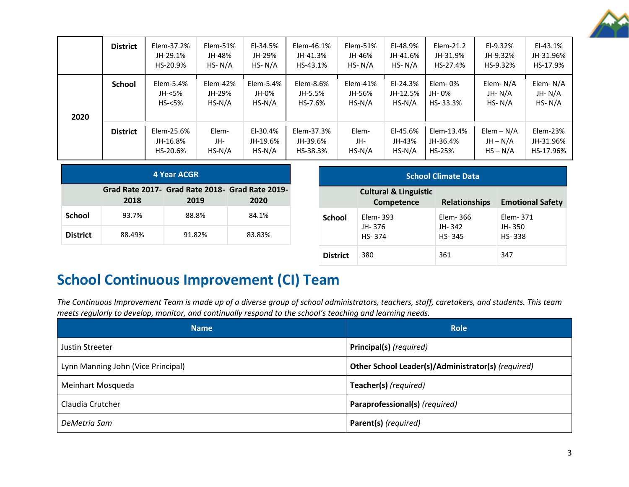

|      | <b>District</b> | Elem-37.2%<br>JH-29.1%<br>HS-20.9% | Elem-51%<br>JH-48%<br>HS- $N/A$ | $E1-34.5%$<br>JH-29%<br>HS- $N/A$  | Elem-46.1%<br>JH-41.3%<br>HS-43.1% | Elem-51%<br>JH-46%<br>$HS- N/A$  | EI-48.9%<br>JH-41.6%<br>$HS- N/A$  | Elem-21.2<br>JH-31.9%<br>HS-27.4% | $E1-9.32%$<br>JH-9.32%<br>HS-9.32%       | $E1-43.1%$<br>JH-31.96%<br>HS-17.9% |
|------|-----------------|------------------------------------|---------------------------------|------------------------------------|------------------------------------|----------------------------------|------------------------------------|-----------------------------------|------------------------------------------|-------------------------------------|
| 2020 | <b>School</b>   | Elem-5.4%<br>JH-<5%<br>$HS - 5%$   | Elem-42%<br>JH-29%<br>$HS-N/A$  | Elem-5.4%<br>JH-0%<br>$HS-N/A$     | Elem-8.6%<br>JH-5.5%<br>HS-7.6%    | $Elem-41%$<br>JH-56%<br>$HS-N/A$ | $E1-24.3%$<br>JH-12.5%<br>$HS-N/A$ | Elem-0%<br>JH-0%<br>HS-33.3%      | Elem-N/A<br>JH-N/A<br>$HS- N/A$          | Elem-N/A<br>JH-N/A<br>$HS- N/A$     |
|      | <b>District</b> | Elem-25.6%<br>JH-16.8%<br>HS-20.6% | Elem-<br>JH-<br>$HS-N/A$        | $E1-30.4%$<br>JH-19.6%<br>$HS-N/A$ | Elem-37.3%<br>JH-39.6%<br>HS-38.3% | Elem-<br>JH-<br>$HS-N/A$         | EI-45.6%<br>JH-43%<br>$HS-N/A$     | Elem-13.4%<br>JH-36.4%<br>HS-25%  | $Elem - N/A$<br>$JH - N/A$<br>$HS - N/A$ | Elem-23%<br>JH-31.96%<br>HS-17.96%  |

| 4 Year ACGR     |        |        |                                                         |
|-----------------|--------|--------|---------------------------------------------------------|
|                 | 2018   | 2019   | Grad Rate 2017- Grad Rate 2018- Grad Rate 2019-<br>2020 |
|                 |        |        |                                                         |
|                 | 93.7%  | 88.8%  | 84.1%                                                   |
| <b>District</b> | 88.49% | 91.82% | 83.83%                                                  |

**District** 380 361 347

# **School Continuous Improvement (CI) Team**

*The Continuous Improvement Team is made up of a diverse group of school administrators, teachers, staff, caretakers, and students. This team meets regularly to develop, monitor, and continually respond to the school's teaching and learning needs.*

| <b>Name</b>                        | <b>Role</b>                                        |
|------------------------------------|----------------------------------------------------|
| Justin Streeter                    | Principal(s) (required)                            |
| Lynn Manning John (Vice Principal) | Other School Leader(s)/Administrator(s) (required) |
| Meinhart Mosqueda                  | Teacher(s) (required)                              |
| Claudia Crutcher                   | Paraprofessional(s) (required)                     |
| DeMetria Sam                       | Parent(s) (required)                               |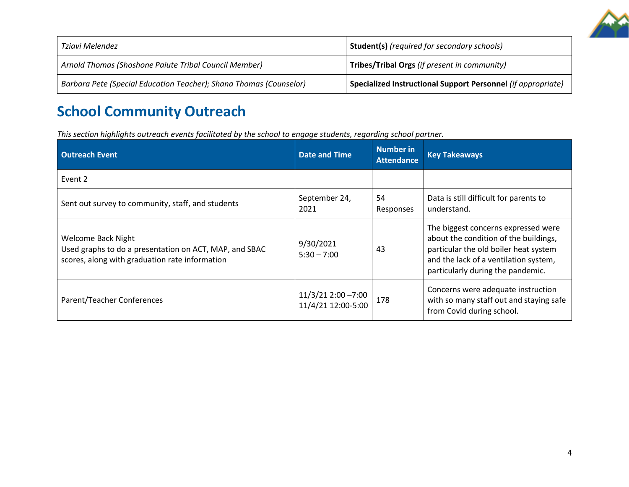

| Tziavi Melendez                                                    | <b>Student(s)</b> (required for secondary schools)           |
|--------------------------------------------------------------------|--------------------------------------------------------------|
| Arnold Thomas (Shoshone Paiute Tribal Council Member)              | Tribes/Tribal Orgs (if present in community)                 |
| Barbara Pete (Special Education Teacher); Shana Thomas (Counselor) | Specialized Instructional Support Personnel (if appropriate) |

# **School Community Outreach**

*This section highlights outreach events facilitated by the school to engage students, regarding school partner.* 

| <b>Outreach Event</b>                                                                                                          | <b>Date and Time</b>                     | <b>Number in</b><br><b>Attendance</b> | <b>Key Takeaways</b>                                                                                                                                                                                |
|--------------------------------------------------------------------------------------------------------------------------------|------------------------------------------|---------------------------------------|-----------------------------------------------------------------------------------------------------------------------------------------------------------------------------------------------------|
| Event 2                                                                                                                        |                                          |                                       |                                                                                                                                                                                                     |
| Sent out survey to community, staff, and students                                                                              | September 24,<br>2021                    | 54<br>Responses                       | Data is still difficult for parents to<br>understand.                                                                                                                                               |
| Welcome Back Night<br>Used graphs to do a presentation on ACT, MAP, and SBAC<br>scores, along with graduation rate information | 9/30/2021<br>$5:30 - 7:00$               | 43                                    | The biggest concerns expressed were<br>about the condition of the buildings,<br>particular the old boiler heat system<br>and the lack of a ventilation system,<br>particularly during the pandemic. |
| Parent/Teacher Conferences                                                                                                     | 11/3/21 2:00 -7:00<br>11/4/21 12:00-5:00 | 178                                   | Concerns were adequate instruction<br>with so many staff out and staying safe<br>from Covid during school.                                                                                          |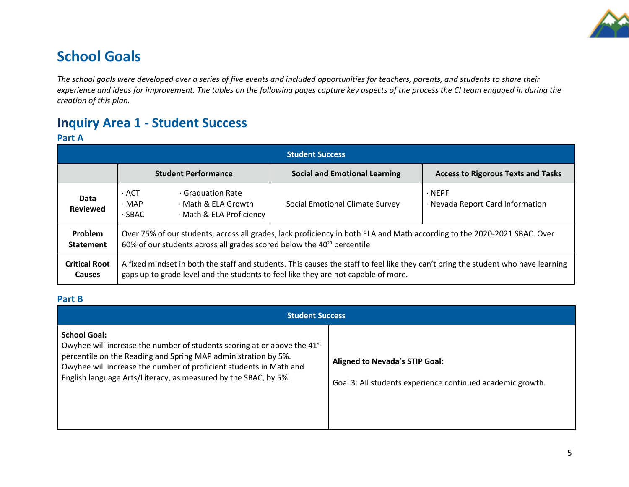

## **School Goals**

*The school goals were developed over a series of five events and included opportunities for teachers, parents, and students to share their experience and ideas for improvement. The tables on the following pages capture key aspects of the process the CI team engaged in during the creation of this plan.*

## **Inquiry Area 1 - Student Success**

## **Part A**

| Student Success                       |                                                                                                                                                                                                                         |                                                                    |                                      |                                                  |  |  |  |
|---------------------------------------|-------------------------------------------------------------------------------------------------------------------------------------------------------------------------------------------------------------------------|--------------------------------------------------------------------|--------------------------------------|--------------------------------------------------|--|--|--|
|                                       |                                                                                                                                                                                                                         | <b>Student Performance</b>                                         | <b>Social and Emotional Learning</b> | <b>Access to Rigorous Texts and Tasks</b>        |  |  |  |
| Data<br><b>Reviewed</b>               | $\cdot$ ACT<br>$\cdot$ MAP<br>$\cdot$ SBAC                                                                                                                                                                              | Graduation Rate<br>· Math & ELA Growth<br>· Math & ELA Proficiency | · Social Emotional Climate Survey    | $\cdot$ NEPF<br>· Nevada Report Card Information |  |  |  |
| Problem<br><b>Statement</b>           | Over 75% of our students, across all grades, lack proficiency in both ELA and Math according to the 2020-2021 SBAC. Over<br>60% of our students across all grades scored below the 40 <sup>th</sup> percentile          |                                                                    |                                      |                                                  |  |  |  |
| <b>Critical Root</b><br><b>Causes</b> | A fixed mindset in both the staff and students. This causes the staff to feel like they can't bring the student who have learning<br>gaps up to grade level and the students to feel like they are not capable of more. |                                                                    |                                      |                                                  |  |  |  |

## **Part B**

| <b>Student Success</b>                                                                                                                                                                                                                                                                                                 |                                                                                                     |  |  |  |
|------------------------------------------------------------------------------------------------------------------------------------------------------------------------------------------------------------------------------------------------------------------------------------------------------------------------|-----------------------------------------------------------------------------------------------------|--|--|--|
| <b>School Goal:</b><br>Owyhee will increase the number of students scoring at or above the 41 <sup>st</sup><br>percentile on the Reading and Spring MAP administration by 5%.<br>Owyhee will increase the number of proficient students in Math and<br>English language Arts/Literacy, as measured by the SBAC, by 5%. | <b>Aligned to Nevada's STIP Goal:</b><br>Goal 3: All students experience continued academic growth. |  |  |  |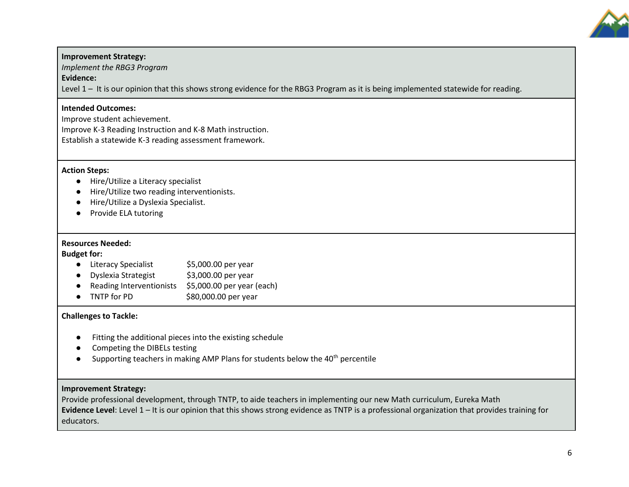

## **Improvement Strategy:**

*Implement the RBG3 Program* 

**Evidence:**

Level 1 – It is our opinion that this shows strong evidence for the RBG3 Program as it is being implemented statewide for reading.

## **Intended Outcomes:**

Improve student achievement. Improve K-3 Reading Instruction and K-8 Math instruction. Establish a statewide K-3 reading assessment framework.

## **Action Steps:**

- Hire/Utilize a Literacy specialist
- Hire/Utilize two reading interventionists.
- Hire/Utilize a Dyslexia Specialist.
- Provide ELA tutoring

## **Resources Needed:**

**Budget for:**

- Literacy Specialist \$5,000.00 per year
- Dyslexia Strategist \$3,000.00 per year
- Reading Interventionists \$5,000.00 per year (each)
- TNTP for PD \$80,000.00 per year

## **Challenges to Tackle:**

- Fitting the additional pieces into the existing schedule
- Competing the DIBELs testing
- **•** Supporting teachers in making AMP Plans for students below the  $40<sup>th</sup>$  percentile

## **Improvement Strategy:**

Provide professional development, through TNTP, to aide teachers in implementing our new Math curriculum, Eureka Math **Evidence Level**: Level 1 – It is our opinion that this shows strong evidence as TNTP is a professional organization that provides training for educators.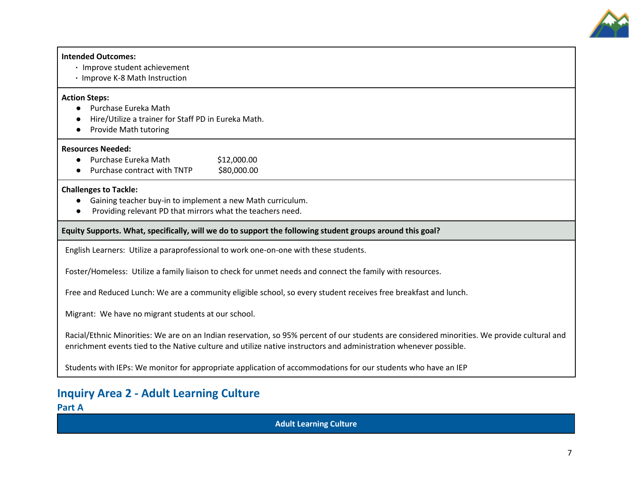

#### **Intended Outcomes:**

- **·** Improve student achievement
- **·** Improve K-8 Math Instruction

### **Action Steps:**

- Purchase Eureka Math
- Hire/Utilize a trainer for Staff PD in Eureka Math.
- Provide Math tutoring

### **Resources Needed:**

- Purchase Eureka Math \$12,000.00
- Purchase contract with TNTP \$80,000.00

### **Challenges to Tackle:**

- Gaining teacher buy-in to implement a new Math curriculum.
- Providing relevant PD that mirrors what the teachers need.

## **Equity Supports. What, specifically, will we do to support the following student groups around this goal?**

English Learners: Utilize a paraprofessional to work one-on-one with these students.

Foster/Homeless: Utilize a family liaison to check for unmet needs and connect the family with resources.

Free and Reduced Lunch: We are a community eligible school, so every student receives free breakfast and lunch.

Migrant: We have no migrant students at our school.

Racial/Ethnic Minorities: We are on an Indian reservation, so 95% percent of our students are considered minorities. We provide cultural and enrichment events tied to the Native culture and utilize native instructors and administration whenever possible.

Students with IEPs: We monitor for appropriate application of accommodations for our students who have an IEP

## **Inquiry Area 2 - Adult Learning Culture**

**Part A**

**Adult Learning Culture**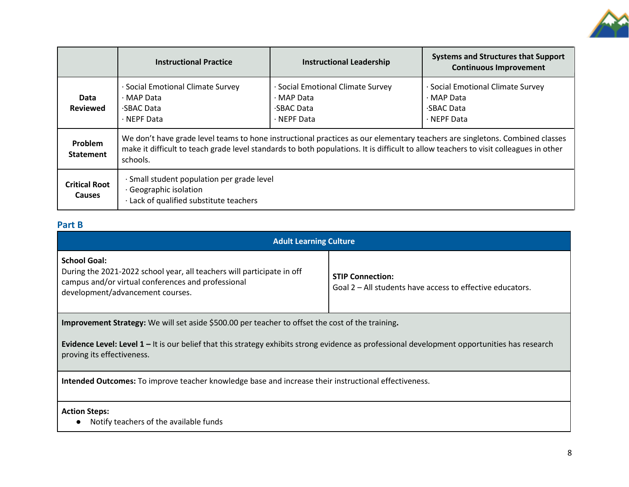

|                                       | <b>Instructional Practice</b>                                                                                                                                                                                                                                                   | <b>Instructional Leadership</b>                                                              | <b>Systems and Structures that Support</b><br><b>Continuous Improvement</b>           |  |  |  |
|---------------------------------------|---------------------------------------------------------------------------------------------------------------------------------------------------------------------------------------------------------------------------------------------------------------------------------|----------------------------------------------------------------------------------------------|---------------------------------------------------------------------------------------|--|--|--|
| Data<br><b>Reviewed</b>               | Social Emotional Climate Survey<br>$\cdot$ MAP Data<br><b>SBAC Data</b><br>$\cdot$ NEPF Data                                                                                                                                                                                    | Social Emotional Climate Survey<br>$\cdot$ MAP Data<br><b>SBAC Data</b><br>$\cdot$ NEPF Data | Social Emotional Climate Survey<br>$\cdot$ MAP Data<br>SBAC Data<br>$\cdot$ NEPF Data |  |  |  |
| Problem<br><b>Statement</b>           | We don't have grade level teams to hone instructional practices as our elementary teachers are singletons. Combined classes<br>make it difficult to teach grade level standards to both populations. It is difficult to allow teachers to visit colleagues in other<br>schools. |                                                                                              |                                                                                       |  |  |  |
| <b>Critical Root</b><br><b>Causes</b> | · Small student population per grade level<br>Geographic isolation<br>· Lack of qualified substitute teachers                                                                                                                                                                   |                                                                                              |                                                                                       |  |  |  |

## **Part B**

| <b>Adult Learning Culture</b>                                                                                                                                                           |                                                                                      |  |  |  |  |  |
|-----------------------------------------------------------------------------------------------------------------------------------------------------------------------------------------|--------------------------------------------------------------------------------------|--|--|--|--|--|
| <b>School Goal:</b><br>During the 2021-2022 school year, all teachers will participate in off<br>campus and/or virtual conferences and professional<br>development/advancement courses. | <b>STIP Connection:</b><br>Goal 2 – All students have access to effective educators. |  |  |  |  |  |
| <b>Improvement Strategy:</b> We will set aside \$500.00 per teacher to offset the cost of the training.                                                                                 |                                                                                      |  |  |  |  |  |
| Evidence Level: Level $1 -$ It is our belief that this strategy exhibits strong evidence as professional development opportunities has research<br>proving its effectiveness.           |                                                                                      |  |  |  |  |  |
| Intended Outcomes: To improve teacher knowledge base and increase their instructional effectiveness.                                                                                    |                                                                                      |  |  |  |  |  |
| <b>Action Steps:</b>                                                                                                                                                                    |                                                                                      |  |  |  |  |  |
| Notify teachers of the available funds                                                                                                                                                  |                                                                                      |  |  |  |  |  |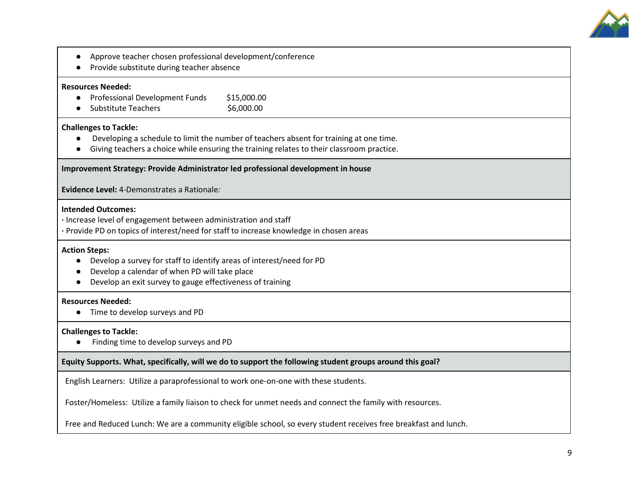

- Approve teacher chosen professional development/conference
- Provide substitute during teacher absence

#### **Resources Needed:**

- Professional Development Funds \$15,000.00
- Substitute Teachers \$6,000.00

### **Challenges to Tackle:**

- Developing a schedule to limit the number of teachers absent for training at one time.
- Giving teachers a choice while ensuring the training relates to their classroom practice.

#### **Improvement Strategy: Provide Administrator led professional development in house**

**Evidence Level:** 4-Demonstrates a Rationale*:* 

#### **Intended Outcomes:**

- **·** Increase level of engagement between administration and staff
- **·** Provide PD on topics of interest/need for staff to increase knowledge in chosen areas

#### **Action Steps:**

- Develop a survey for staff to identify areas of interest/need for PD
- Develop a calendar of when PD will take place
- Develop an exit survey to gauge effectiveness of training

### **Resources Needed:**

● Time to develop surveys and PD

### **Challenges to Tackle:**

● Finding time to develop surveys and PD

### **Equity Supports. What, specifically, will we do to support the following student groups around this goal?**

English Learners: Utilize a paraprofessional to work one-on-one with these students.

Foster/Homeless: Utilize a family liaison to check for unmet needs and connect the family with resources.

Free and Reduced Lunch: We are a community eligible school, so every student receives free breakfast and lunch.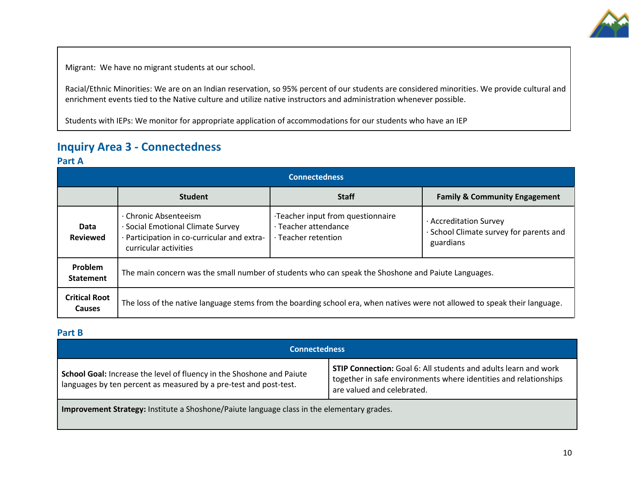

Migrant: We have no migrant students at our school.

Racial/Ethnic Minorities: We are on an Indian reservation, so 95% percent of our students are considered minorities. We provide cultural and enrichment events tied to the Native culture and utilize native instructors and administration whenever possible.

Students with IEPs: We monitor for appropriate application of accommodations for our students who have an IEP

## **Inquiry Area 3 - Connectedness**

## **Part A**

| <b>Connectedness</b>           |                                                                                                                                    |                                                                                 |                                                                                |  |  |
|--------------------------------|------------------------------------------------------------------------------------------------------------------------------------|---------------------------------------------------------------------------------|--------------------------------------------------------------------------------|--|--|
|                                | <b>Student</b>                                                                                                                     | <b>Staff</b>                                                                    | <b>Family &amp; Community Engagement</b>                                       |  |  |
| Data<br><b>Reviewed</b>        | · Chronic Absenteeism<br>· Social Emotional Climate Survey<br>· Participation in co-curricular and extra-<br>curricular activities | Teacher input from questionnaire<br>· Teacher attendance<br>· Teacher retention | · Accreditation Survey<br>· School Climate survey for parents and<br>guardians |  |  |
| Problem<br><b>Statement</b>    | The main concern was the small number of students who can speak the Shoshone and Paiute Languages.                                 |                                                                                 |                                                                                |  |  |
| <b>Critical Root</b><br>Causes | The loss of the native language stems from the boarding school era, when natives were not allowed to speak their language.         |                                                                                 |                                                                                |  |  |

## **Part B**

| Connectedness                                                                                                                              |                                                                                                                                                                          |  |
|--------------------------------------------------------------------------------------------------------------------------------------------|--------------------------------------------------------------------------------------------------------------------------------------------------------------------------|--|
| School Goal: Increase the level of fluency in the Shoshone and Paiute<br>languages by ten percent as measured by a pre-test and post-test. | <b>STIP Connection:</b> Goal 6: All students and adults learn and work<br>together in safe environments where identities and relationships<br>are valued and celebrated. |  |
| Improvement Strategy: Institute a Shoshone/Paiute language class in the elementary grades.                                                 |                                                                                                                                                                          |  |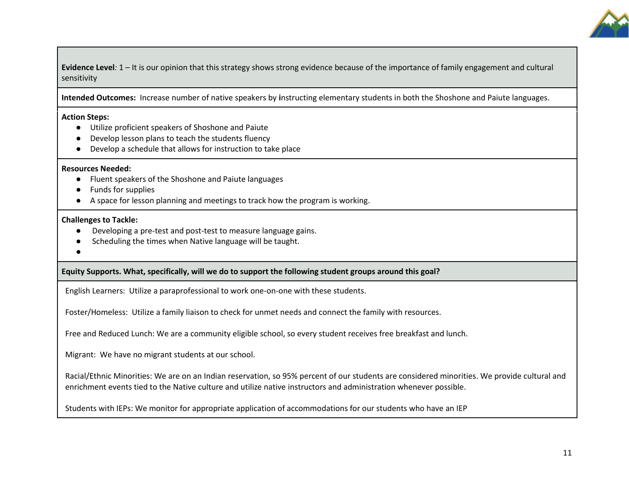

**Evidence Level***:* 1 – It is our opinion that this strategy shows strong evidence because of the importance of family engagement and cultural sensitivity

**Intended Outcomes:** Increase number of native speakers by **i**nstructing elementary students in both the Shoshone and Paiute languages.

#### **Action Steps:**

- Utilize proficient speakers of Shoshone and Paiute
- Develop lesson plans to teach the students fluency
- Develop a schedule that allows for instruction to take place

#### **Resources Needed:**

- Fluent speakers of the Shoshone and Paiute languages
- Funds for supplies
- A space for lesson planning and meetings to track how the program is working.

### **Challenges to Tackle:**

- Developing a pre-test and post-test to measure language gains.
- Scheduling the times when Native language will be taught.
- ●

## **Equity Supports. What, specifically, will we do to support the following student groups around this goal?**

English Learners: Utilize a paraprofessional to work one-on-one with these students.

Foster/Homeless: Utilize a family liaison to check for unmet needs and connect the family with resources.

Free and Reduced Lunch: We are a community eligible school, so every student receives free breakfast and lunch.

Migrant: We have no migrant students at our school.

Racial/Ethnic Minorities: We are on an Indian reservation, so 95% percent of our students are considered minorities. We provide cultural and enrichment events tied to the Native culture and utilize native instructors and administration whenever possible.

Students with IEPs: We monitor for appropriate application of accommodations for our students who have an IEP